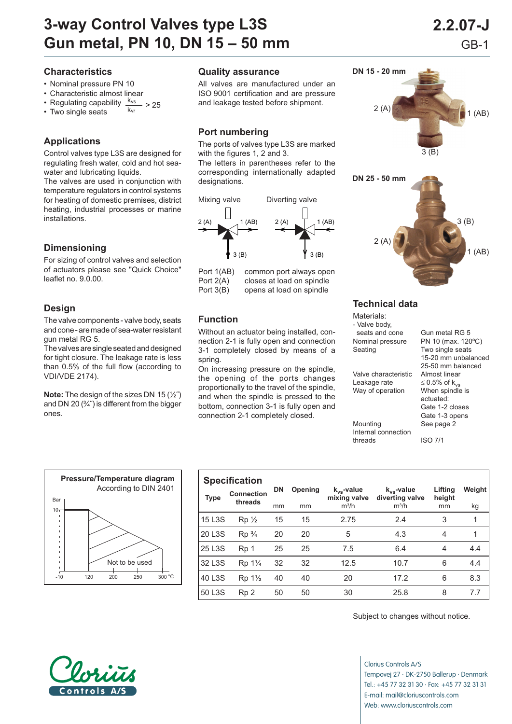# **3-way Control Valves type L3S 2.2.07-J Gun metal, PN 10, DN 15 – 50 mm** GB-1

#### **Characteristics**

- Nominal pressure PN 10
- Characteristic almost linear
- Regulating capability  $\frac{k_{vs}}{k_{vr}} > 25$ <br>• Two single seats
- 

## **Applications**

Control valves type L3S are designed for regulating fresh water, cold and hot seawater and lubricating liquids.

The valves are used in conjunction with temperature regulators in control systems for heating of domestic premises, district heating, industrial processes or marine in stallations.

## **Dimensioning**

For sizing of control valves and selection of actuators please see "Quick Choice" leaflet no.  $9.0.00$ .

### **Design**

The valve components - valve body, seats and cone - are made of sea-water resistant gun metal RG 5.

The valves are single seated and designed for tight closure. The leakage rate is less than  $0.5\%$  of the full flow (according to VDI/VDE 2174).

**Note:** The design of the sizes DN 15 (½˝) and DN 20 $(3/4)$  is different from the bigger ones.



All valves are manufactured under an ISO 9001 certification and are pressure and leakage tested before shipment.

### **Port numbering**

The ports of valves type L3S are marked with the figures 1, 2 and 3.

The letters in parentheses refer to the corresponding internationally adapted designations.



Port 1(AB) common port always open<br>Port 2(A) closes at load on spindle closes at load on spindle Port 3(B) opens at load on spindle

#### **Function**

Without an actuator being installed, connection 2-1 is fully open and connection 3-1 completely closed by means of a spring.

On increasing pressure on the spindle, the opening of the ports changes proportionally to the travel of the spindle, and when the spindle is pressed to the bottom, connection 3-1 is fully open and connection 2-1 completely closed.

| 2(A)<br>S<br>1(AB)<br>3(B) |
|----------------------------|
| DN 25 - 50 mm              |
| 3(B)<br>2(A)<br>1(AB)      |

 $-1-$ 

### **Technical data**

**DN 15 - 20 mm**

| Materials:<br>- Valve body, |                                |
|-----------------------------|--------------------------------|
| seats and cone              | Gun metal RG 5                 |
| Nominal pressure            | PN 10 (max. 120°C)             |
| Seating                     | Two single seats               |
|                             | 15-20 mm unbalanced            |
|                             | 25-50 mm balanced              |
| Valve characteristic        | Almost linear                  |
| Leakage rate                | $\leq$ 0.5% of k <sub>vs</sub> |
| Way of operation            | When spindle is                |
|                             | actuated:                      |
|                             | Gate 1-2 closes                |
|                             | Gate 1-3 opens                 |
| Mounting                    | See page 2                     |
| Internal connection         |                                |

threads ISO 7/1



|             | <b>Specification</b>             |           |         |                                 |                                    |                   |        |
|-------------|----------------------------------|-----------|---------|---------------------------------|------------------------------------|-------------------|--------|
| <b>Type</b> | <b>Connection</b><br>threads     | <b>DN</b> | Opening | $k_{vs}$ -value<br>mixing valve | $k_{vs}$ -value<br>diverting valve | Lifting<br>height | Weight |
|             |                                  | mm        | mm      | $m^3/h$                         | $m^3/h$                            | mm                | kg     |
| 15 L3S      | $Rp_{2}$                         | 15        | 15      | 2.75                            | 2.4                                | 3                 | 1      |
| 20 L3S      | $Rp\frac{3}{4}$                  | 20        | 20      | 5                               | 4.3                                | $\overline{4}$    | 1      |
| 25 L3S      | Rp 1                             | 25        | 25      | 7.5                             | 6.4                                | 4                 | 4.4    |
| 32 L3S      | Rp 1 <sup>1</sup> / <sub>4</sub> | 32        | 32      | 12.5                            | 10.7                               | 6                 | 4.4    |
| 40 L3S      | Rp 1 <sup>1</sup> / <sub>2</sub> | 40        | 40      | 20                              | 17.2                               | 6                 | 8.3    |
| 50 L3S      | Rp <sub>2</sub>                  | 50        | 50      | 30                              | 25.8                               | 8                 | 7.7    |

Subject to changes without notice.

Clorius Controls A/S Tempovej 27 · DK-2750 Ballerup · Denmark Tel.: +45 77 32 31 30 · Fax: +45 77 32 31 31 E-mail: mail@cloriuscontrols.com Web: www.cloriuscontrols.com